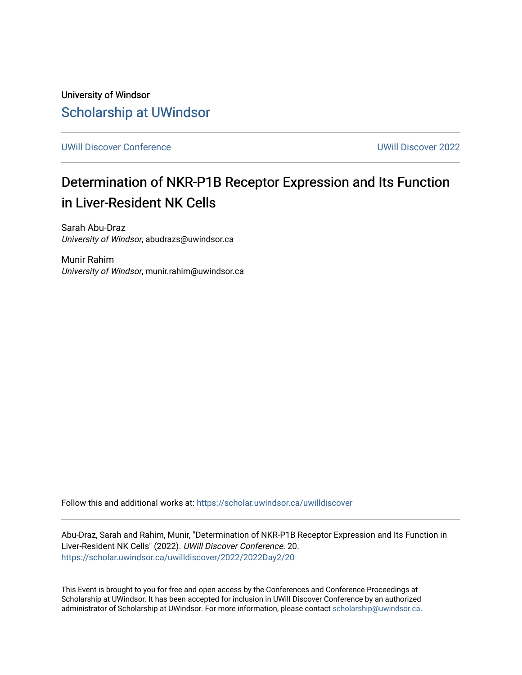University of Windsor [Scholarship at UWindsor](https://scholar.uwindsor.ca/) 

[UWill Discover Conference](https://scholar.uwindsor.ca/uwilldiscover) [UWill Discover 2022](https://scholar.uwindsor.ca/uwilldiscover/2022) 

#### Determination of NKR-P1B Receptor Expression and Its Function in Liver-Resident NK Cells

Sarah Abu-Draz University of Windsor, abudrazs@uwindsor.ca

Munir Rahim University of Windsor, munir.rahim@uwindsor.ca

Follow this and additional works at: [https://scholar.uwindsor.ca/uwilldiscover](https://scholar.uwindsor.ca/uwilldiscover?utm_source=scholar.uwindsor.ca%2Fuwilldiscover%2F2022%2F2022Day2%2F20&utm_medium=PDF&utm_campaign=PDFCoverPages) 

Abu-Draz, Sarah and Rahim, Munir, "Determination of NKR-P1B Receptor Expression and Its Function in Liver-Resident NK Cells" (2022). UWill Discover Conference. 20. [https://scholar.uwindsor.ca/uwilldiscover/2022/2022Day2/20](https://scholar.uwindsor.ca/uwilldiscover/2022/2022Day2/20?utm_source=scholar.uwindsor.ca%2Fuwilldiscover%2F2022%2F2022Day2%2F20&utm_medium=PDF&utm_campaign=PDFCoverPages) 

This Event is brought to you for free and open access by the Conferences and Conference Proceedings at Scholarship at UWindsor. It has been accepted for inclusion in UWill Discover Conference by an authorized administrator of Scholarship at UWindsor. For more information, please contact [scholarship@uwindsor.ca](mailto:scholarship@uwindsor.ca).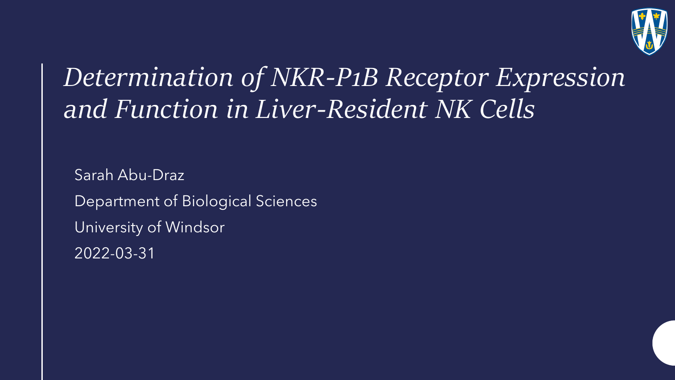

#### *Determination of NKR-P1B Receptor Expression and Function in Liver-Resident NK Cells*

Sarah Abu-Draz Department of Biological Sciences University of Windsor 2022-03-31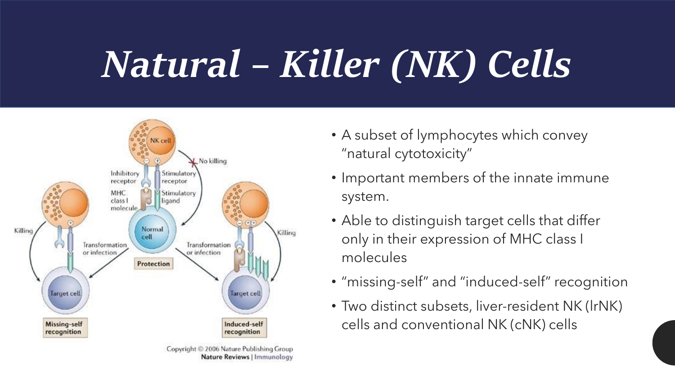# *Natural – Killer (NK) Cells*



- Important members of the innate immune system.
- Able to distinguish target cells that differ only in their expression of MHC class I molecules
- "missing-self" and "induced-self" recognition
- Two distinct subsets, liver-resident NK (lrNK) cells and conventional NK (cNK) cells

<sup>•</sup> A subset of lymphocytes which convey "natural cytotoxicity"

Copyright © 2006 Nature Publishing Group Nature Reviews | Immunology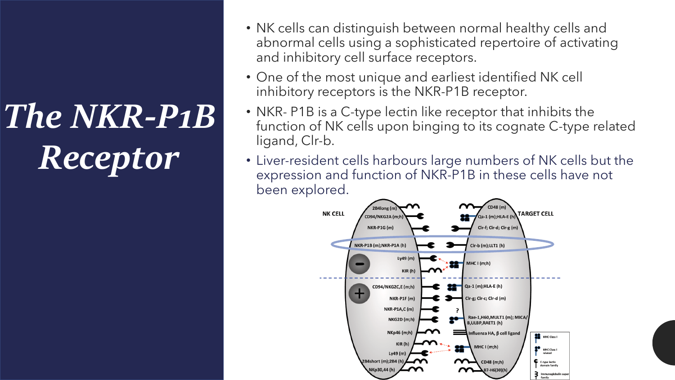# *The NKR-P1B Receptor*

- NK cells can distinguish between normal healthy cells and abnormal cells using a sophisticated repertoire of activating and inhibitory cell surface receptors.
- One of the most unique and earliest identified NK cell inhibitory receptors is the NKR-P1B receptor.
- NKR- P1B is a C-type lectin like receptor that inhibits the function of NK cells upon binging to its cognate C-type related ligand, Clr-b.
- Liver-resident cells harbours large numbers of NK cells but the expression and function of NKR-P1B in these cells have not been explored.

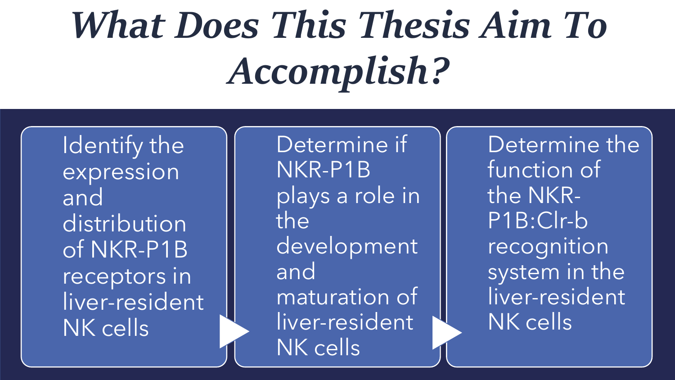# *What Does This Thesis Aim To Accomplish?*

Identify the expression and distribution of NKR-P1B receptors in liver-resident NK cells

Determine if NKR-P1B plays a role in the development and maturation of liver-resident NK cells

Determine the function of the NKR-P1B:Clr-b recognition system in the liver-resident NK cells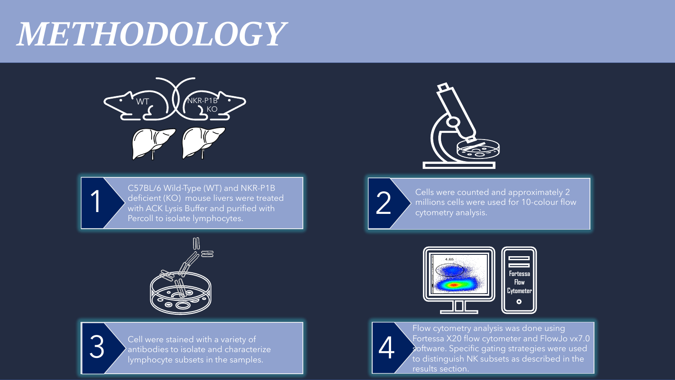#### *METHODOLOGY*



C57BL/6 Wild-Type (WT) and NKR-P1B deficient (KO) mouse livers were treated with ACK Lysis Buffer and purified with Percoll to isolate lymphocytes.





 $\blacktriangleleft$ 

3 Cell were stained with a variety of<br>antibodies to isolate and characterize<br>lymphocyte subsets in the samples. Cell were stained with a variety of antibodies to isolate and characterize lymphocyte subsets in the samples.





Cells were counted and approximately 2 millions cells were used for 10-colour flow cytometry analysis.





Flow cytometry analysis was done using Fortessa X20 flow cytometer and FlowJo vx7.0 software. Specific gating strategies were used to distinguish NK subsets as described in the results section.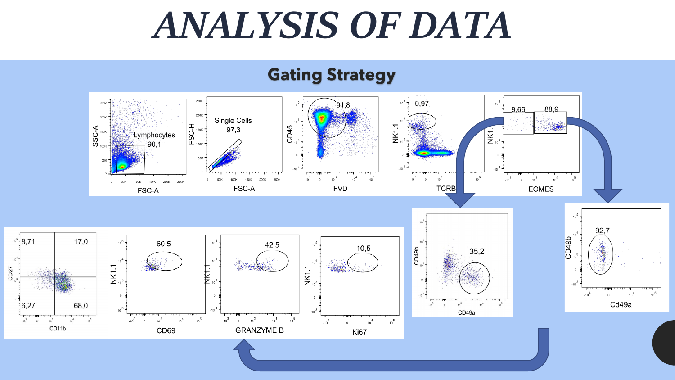## *ANALYSIS OF DATA*

#### **Gating Strategy**



 $10^{5}$  | 8.71

 $6,27$ 

 $-10^{3}$  $\overline{0}$ 

 $CD27$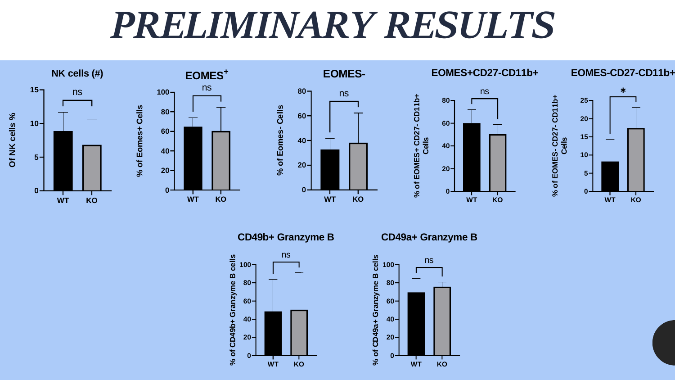## *PRELIMINARY RESULTS*





**<sup>100</sup> CD49a+ Granzyme <sup>B</sup>**

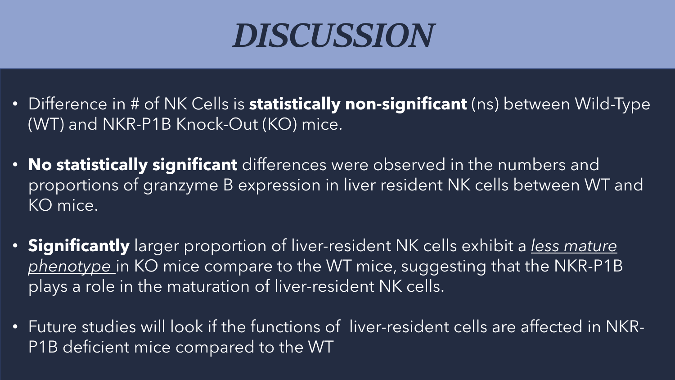### *DISCUSSION*

- Difference in # of NK Cells is **statistically non-significant** (ns) between Wild-Type (WT) and NKR-P1B Knock-Out (KO) mice.
- **No statistically significant** differences were observed in the numbers and proportions of granzyme B expression in liver resident NK cells between WT and KO mice.
- **Significantly** larger proportion of liver-resident NK cells exhibit a *less mature phenotype* in KO mice compare to the WT mice, suggesting that the NKR-P1B plays a role in the maturation of liver-resident NK cells.
- Future studies will look if the functions of liver-resident cells are affected in NKR-P1B deficient mice compared to the WT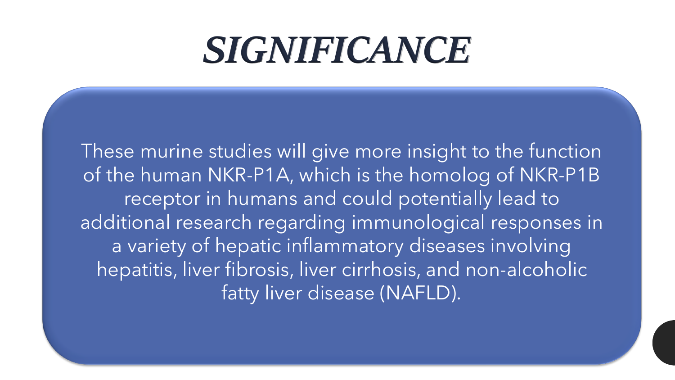### *SIGNIFICANCE*

These murine studies will give more insight to the function of the human NKR-P1A, which is the homolog of NKR-P1B receptor in humans and could potentially lead to additional research regarding immunological responses in a variety of hepatic inflammatory diseases involving hepatitis, liver fibrosis, liver cirrhosis, and non-alcoholic fatty liver disease (NAFLD).